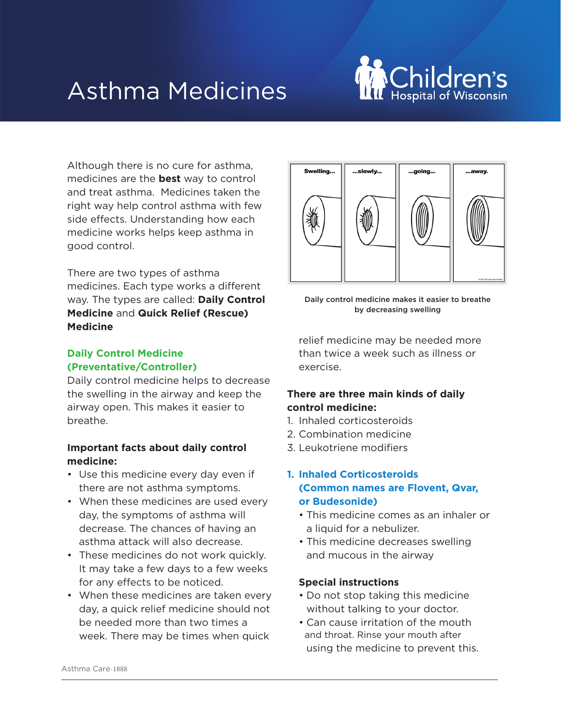# Asthma Medicines



Although there is no cure for asthma, medicines are the **best** way to control and treat asthma. Medicines taken the right way help control asthma with few side effects. Understanding how each medicine works helps keep asthma in good control.

There are two types of asthma medicines. Each type works a different way. The types are called: **Daily Control Medicine** and **Quick Relief (Rescue) Medicine**

# **Daily Control Medicine (Preventative/Controller)**

Daily control medicine helps to decrease the swelling in the airway and keep the airway open. This makes it easier to breathe.

## **Important facts about daily control medicine:**

- Use this medicine every day even if there are not asthma symptoms.
- When these medicines are used every day, the symptoms of asthma will decrease. The chances of having an asthma attack will also decrease.
- These medicines do not work quickly. It may take a few days to a few weeks for any effects to be noticed.
- When these medicines are taken every day, a quick relief medicine should not be needed more than two times a week. There may be times when quick



Daily control medicine makes it easier to breathe by decreasing swelling

relief medicine may be needed more than twice a week such as illness or exercise.

## **There are three main kinds of daily control medicine:**

- 1. Inhaled corticosteroids
- 2. Combination medicine
- 3. Leukotriene modifiers

## **1. Inhaled Corticosteroids (Common names are Flovent, Qvar, or Budesonide)**

- This medicine comes as an inhaler or a liquid for a nebulizer.
- This medicine decreases swelling and mucous in the airway

#### **Special instructions**

- Do not stop taking this medicine without talking to your doctor.
- Can cause irritation of the mouth and throat. Rinse your mouth after using the medicine to prevent this.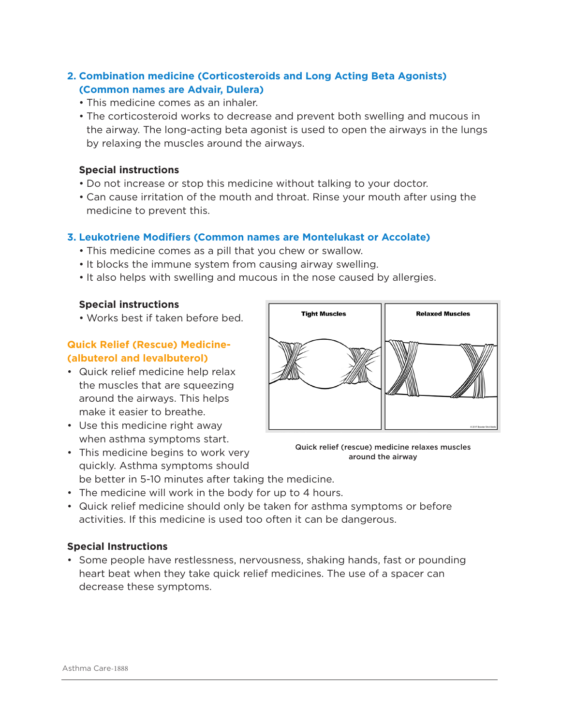## **2. Combination medicine (Corticosteroids and Long Acting Beta Agonists) (Common names are Advair, Dulera)**

- This medicine comes as an inhaler.
- The corticosteroid works to decrease and prevent both swelling and mucous in the airway. The long-acting beta agonist is used to open the airways in the lungs by relaxing the muscles around the airways.

#### **Special instructions**

- Do not increase or stop this medicine without talking to your doctor.
- Can cause irritation of the mouth and throat. Rinse your mouth after using the medicine to prevent this.

## **3. Leukotriene Modifiers (Common names are Montelukast or Accolate)**

- This medicine comes as a pill that you chew or swallow.
- It blocks the immune system from causing airway swelling.
- It also helps with swelling and mucous in the nose caused by allergies.

#### **Special instructions**

• Works best if taken before bed.

## **Quick Relief (Rescue) Medicine- (albuterol and levalbuterol)**

- Quick relief medicine help relax the muscles that are squeezing around the airways. This helps make it easier to breathe.
- Use this medicine right away when asthma symptoms start.



Quick relief (rescue) medicine relaxes muscles around the airway

- This medicine begins to work very quickly. Asthma symptoms should be better in 5-10 minutes after taking the medicine.
- The medicine will work in the body for up to 4 hours.
- Quick relief medicine should only be taken for asthma symptoms or before activities. If this medicine is used too often it can be dangerous.

## **Special Instructions**

• Some people have restlessness, nervousness, shaking hands, fast or pounding heart beat when they take quick relief medicines. The use of a spacer can decrease these symptoms.